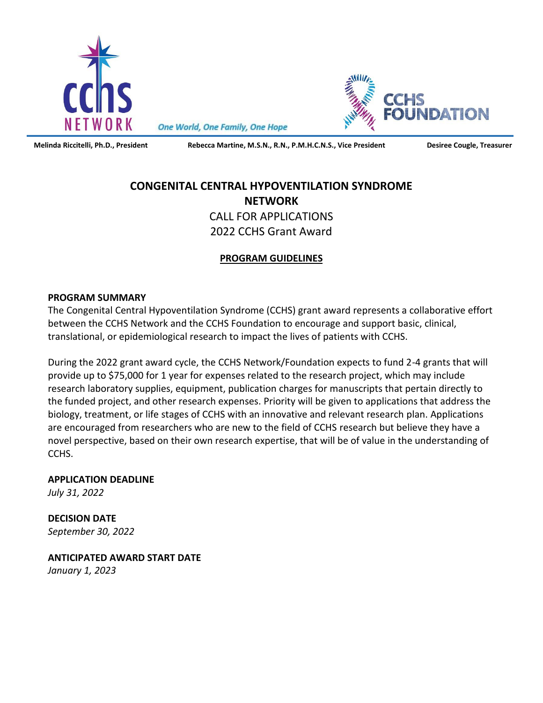

One World, One Family, One Hope

L

**Melinda Riccitelli, Ph.D., President Rebecca Martine, M.S.N., R.N., P.M.H.C.N.S., Vice President Desiree Cougle, Treasurer**

IDATION

# **CONGENITAL CENTRAL HYPOVENTILATION SYNDROME NETWORK** CALL FOR APPLICATIONS 2022 CCHS Grant Award

# **PROGRAM GUIDELINES**

#### **PROGRAM SUMMARY**

The Congenital Central Hypoventilation Syndrome (CCHS) grant award represents a collaborative effort between the CCHS Network and the CCHS Foundation to encourage and support basic, clinical, translational, or epidemiological research to impact the lives of patients with CCHS.

During the 2022 grant award cycle, the CCHS Network/Foundation expects to fund 2-4 grants that will provide up to \$75,000 for 1 year for expenses related to the research project, which may include research laboratory supplies, equipment, publication charges for manuscripts that pertain directly to the funded project, and other research expenses. Priority will be given to applications that address the biology, treatment, or life stages of CCHS with an innovative and relevant research plan. Applications are encouraged from researchers who are new to the field of CCHS research but believe they have a novel perspective, based on their own research expertise, that will be of value in the understanding of CCHS.

**APPLICATION DEADLINE**

*July 31, 2022*

**DECISION DATE** *September 30, 2022*

**ANTICIPATED AWARD START DATE** *January 1, 2023*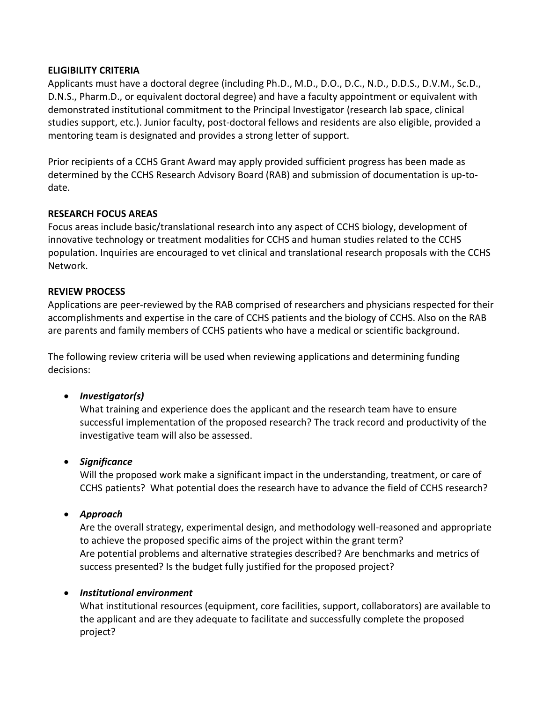## **ELIGIBILITY CRITERIA**

Applicants must have a doctoral degree (including Ph.D., M.D., D.O., D.C., N.D., D.D.S., D.V.M., Sc.D., D.N.S., Pharm.D., or equivalent doctoral degree) and have a faculty appointment or equivalent with demonstrated institutional commitment to the Principal Investigator (research lab space, clinical studies support, etc.). Junior faculty, post-doctoral fellows and residents are also eligible, provided a mentoring team is designated and provides a strong letter of support.

Prior recipients of a CCHS Grant Award may apply provided sufficient progress has been made as determined by the CCHS Research Advisory Board (RAB) and submission of documentation is up-todate.

#### **RESEARCH FOCUS AREAS**

Focus areas include basic/translational research into any aspect of CCHS biology, development of innovative technology or treatment modalities for CCHS and human studies related to the CCHS population. Inquiries are encouraged to vet clinical and translational research proposals with the CCHS Network.

## **REVIEW PROCESS**

Applications are peer-reviewed by the RAB comprised of researchers and physicians respected for their accomplishments and expertise in the care of CCHS patients and the biology of CCHS. Also on the RAB are parents and family members of CCHS patients who have a medical or scientific background.

The following review criteria will be used when reviewing applications and determining funding decisions:

# • *Investigator(s)*

What training and experience does the applicant and the research team have to ensure successful implementation of the proposed research? The track record and productivity of the investigative team will also be assessed.

#### • *Significance*

Will the proposed work make a significant impact in the understanding, treatment, or care of CCHS patients? What potential does the research have to advance the field of CCHS research?

# • *Approach*

Are the overall strategy, experimental design, and methodology well-reasoned and appropriate to achieve the proposed specific aims of the project within the grant term? Are potential problems and alternative strategies described? Are benchmarks and metrics of success presented? Is the budget fully justified for the proposed project?

#### • *Institutional environment*

What institutional resources (equipment, core facilities, support, collaborators) are available to the applicant and are they adequate to facilitate and successfully complete the proposed project?